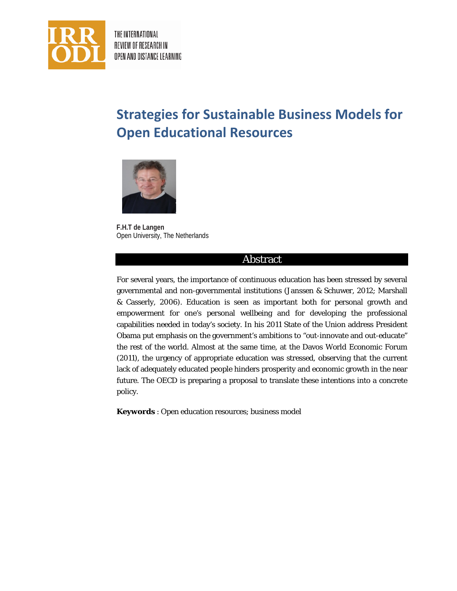

THE INTERNATIONAL REVIEW OF RESEARCH IN OPEN AND DISTANCE LEARNING

# **Strategies for Sustainable Business Models for Open Educational Resources**



**F.H.T de Langen** Open University, The Netherlands

# Abstract

For several years, the importance of continuous education has been stressed by several governmental and non-governmental institutions (Janssen & Schuwer, 2012; Marshall & Casserly, 2006). Education is seen as important both for personal growth and empowerment for one's personal wellbeing and for developing the professional capabilities needed in today's society. In his 2011 State of the Union address President Obama put emphasis on the government's ambitions to "out-innovate and out-educate" the rest of the world. Almost at the same time, at the Davos World Economic Forum (2011), the urgency of appropriate education was stressed, observing that the current lack of adequately educated people hinders prosperity and economic growth in the near future. The OECD is preparing a proposal to translate these intentions into a concrete policy.

**Keywords** : Open education resources; business model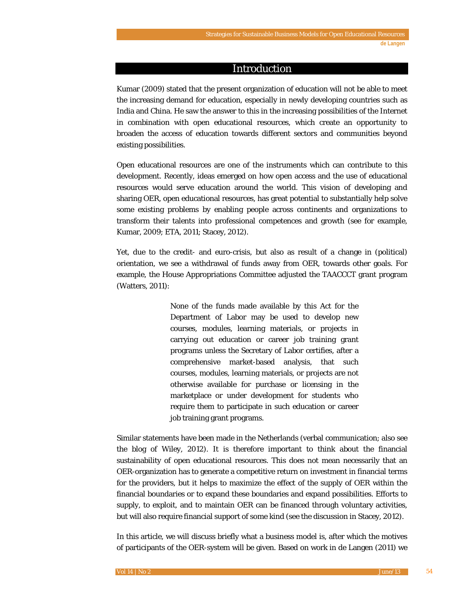#### Introduction

Kumar (2009) stated that the present organization of education will not be able to meet the increasing demand for education, especially in newly developing countries such as India and China. He saw the answer to this in the increasing possibilities of the Internet in combination with open educational resources, which create an opportunity to broaden the access of education towards different sectors and communities beyond existing possibilities.

Open educational resources are one of the instruments which can contribute to this development. Recently, ideas emerged on how open access and the use of educational resources would serve education around the world. This vision of developing and sharing OER, open educational resources, has great potential to substantially help solve some existing problems by enabling people across continents and organizations to transform their talents into professional competences and growth (see for example, Kumar, 2009; ETA, 2011; Stacey, 2012).

Yet, due to the credit- and euro-crisis, but also as result of a change in (political) orientation, we see a withdrawal of funds away from OER, towards other goals. For example, the House Appropriations Committee adjusted the TAACCCT grant program (Watters, 2011):

> None of the funds made available by this Act for the Department of Labor may be used to develop new courses, modules, learning materials, or projects in carrying out education or career job training grant programs unless the Secretary of Labor certifies, after a comprehensive market-based analysis, that such courses, modules, learning materials, or projects are not otherwise available for purchase or licensing in the marketplace or under development for students who require them to participate in such education or career job training grant programs.

Similar statements have been made in the Netherlands (verbal communication; also see the blog of Wiley, 2012). It is therefore important to think about the financial sustainability of open educational resources. This does not mean necessarily that an OER-organization has to generate a competitive return on investment in financial terms for the providers, but it helps to maximize the effect of the supply of OER within the financial boundaries or to expand these boundaries and expand possibilities. Efforts to supply, to exploit, and to maintain OER can be financed through voluntary activities, but will also require financial support of some kind (see the discussion in Stacey, 2012).

In this article, we will discuss briefly what a business model is, after which the motives of participants of the OER-system will be given. Based on work in de Langen (2011) we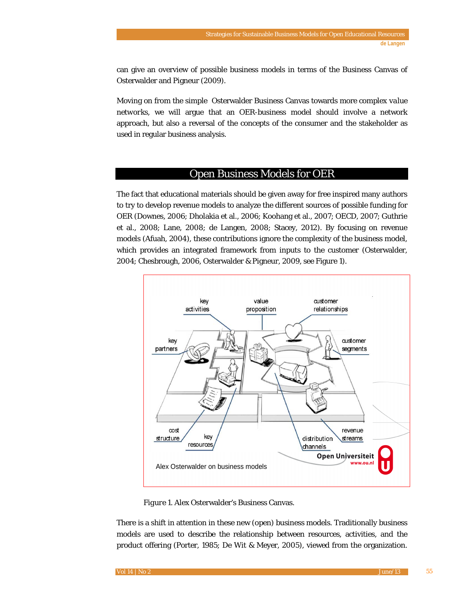can give an overview of possible business models in terms of the Business Canvas of Osterwalder and Pigneur (2009).

Moving on from the simple Osterwalder Business Canvas towards more complex *value networks*, we will argue that an OER-business model should involve a network approach, but also a reversal of the concepts of the consumer and the stakeholder as used in regular business analysis.

## Open Business Models for OER

The fact that educational materials should be given away for free inspired many authors to try to develop revenue models to analyze the different sources of possible funding for OER (Downes, 2006; Dholakia et al., 2006; Koohang et al., 2007; OECD, 2007; Guthrie et al., 2008; Lane, 2008; de Langen, 2008; Stacey, 2012). By focusing on revenue models (Afuah, 2004), these contributions ignore the complexity of the business model, which provides an integrated framework from inputs to the customer (Osterwalder, 2004; Chesbrough, 2006, Osterwalder & Pigneur, 2009, see Figure 1).





There is a shift in attention in these new (open) business models. Traditionally business models are used to describe the relationship between resources, activities, and the product offering (Porter, 1985; De Wit & Meyer, 2005), viewed from the organization.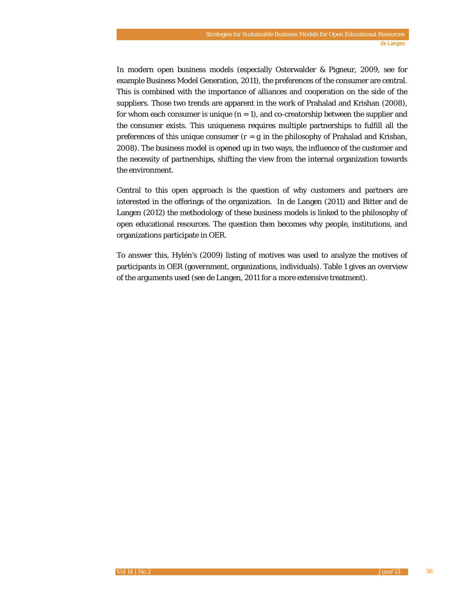In modern open business models (especially Osterwalder & Pigneur, 2009, see for example Business Model Generation, 2011), the preferences of the consumer are central. This is combined with the importance of alliances and cooperation on the side of the suppliers. Those two trends are apparent in the work of Prahalad and Krishan (2008), for whom each consumer is unique  $(n = 1)$ , and co-creatorship between the supplier and the consumer exists. This uniqueness requires multiple partnerships to fulfill all the preferences of this unique consumer  $(r = g \text{ in the philosophy of Prahalad and Krishan, }$ 2008). The business model is opened up in two ways, the influence of the customer and the necessity of partnerships, shifting the view from the internal organization towards the environment.

Central to this open approach is the question of why customers and partners are interested in the offerings of the organization. In de Langen (2011) and Bitter and de Langen (2012) the methodology of these business models is linked to the philosophy of open educational resources. The question then becomes why people, institutions, and organizations participate in OER.

To answer this, Hylén's (2009) listing of motives was used to analyze the motives of participants in OER (government, organizations, individuals). Table 1 gives an overview of the arguments used (see de Langen, 2011 for a more extensive treatment).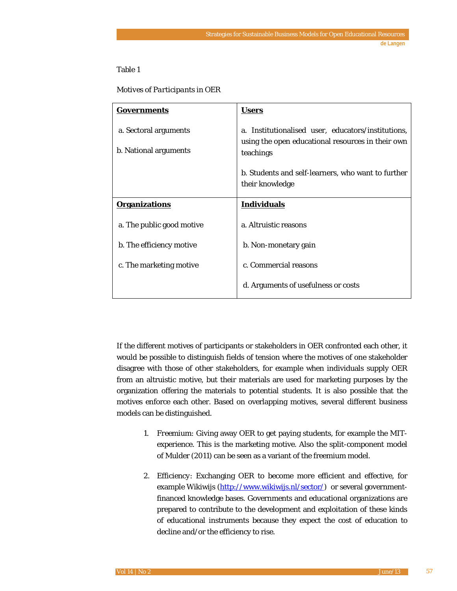### Table 1

| <b>Governments</b>        | <b>Users</b>                                                          |  |
|---------------------------|-----------------------------------------------------------------------|--|
| a. Sectoral arguments     | a. Institutionalised user, educators/institutions,                    |  |
| b. National arguments     | using the open educational resources in their own<br>teachings        |  |
|                           | b. Students and self-learners, who want to further<br>their knowledge |  |
| <b>Organizations</b>      | <b>Individuals</b>                                                    |  |
| a. The public good motive | a. Altruistic reasons                                                 |  |
| b. The efficiency motive  | b. Non-monetary gain                                                  |  |
| c. The marketing motive   | c. Commercial reasons                                                 |  |
|                           | d. Arguments of usefulness or costs                                   |  |

#### *Motives of Participants in OER*

If the different motives of participants or stakeholders in OER confronted each other, it would be possible to distinguish fields of tension where the motives of one stakeholder disagree with those of other stakeholders, for example when individuals supply OER from an altruistic motive, but their materials are used for marketing purposes by the organization offering the materials to potential students. It is also possible that the motives enforce each other. Based on overlapping motives, several different business models can be distinguished.

- 1. *Freemium*: Giving away OER to get paying students, for example the MITexperience. This is the marketing motive. Also the split-component model of Mulder (2011) can be seen as a variant of the freemium model.
- 2. *Efficiency*: Exchanging OER to become more efficient and effective, for example Wikiwijs [\(http://www.wikiwijs.nl/sector/\)](http://www.wikiwijs.nl/sector/) or several governmentfinanced knowledge bases. Governments and educational organizations are prepared to contribute to the development and exploitation of these kinds of educational instruments because they expect the cost of education to decline and/or the efficiency to rise.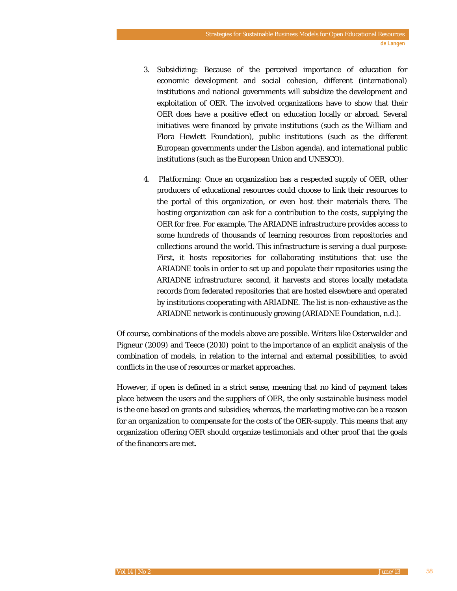- 3. *Subsidizing*: Because of the perceived importance of education for economic development and social cohesion, different (international) institutions and national governments will subsidize the development and exploitation of OER. The involved organizations have to show that their OER does have a positive effect on education locally or abroad. Several initiatives were financed by private institutions (such as the William and Flora Hewlett Foundation), public institutions (such as the different European governments under the Lisbon agenda), and international public institutions (such as the European Union and UNESCO).
- 4. *Platforming*: Once an organization has a respected supply of OER, other producers of educational resources could choose to link their resources to the portal of this organization, or even host their materials there. The hosting organization can ask for a contribution to the costs, supplying the OER for free. For example, The ARIADNE infrastructure provides access to some hundreds of thousands of learning resources from repositories and collections around the world. This infrastructure is serving a dual purpose: First, it hosts repositories for collaborating institutions that use the ARIADNE tools in order to set up and populate their repositories using the ARIADNE infrastructure; second, it harvests and stores locally metadata records from federated repositories that are hosted elsewhere and operated by institutions cooperating with ARIADNE. The list is non-exhaustive as the ARIADNE network is continuously growing (ARIADNE Foundation, n.d.).

Of course, combinations of the models above are possible. Writers like Osterwalder and Pigneur (2009) and Teece (2010) point to the importance of an explicit analysis of the combination of models, in relation to the internal and external possibilities, to avoid conflicts in the use of resources or market approaches.

However, if open is defined in a strict sense, meaning that no kind of payment takes place between the users and the suppliers of OER, the only sustainable business model is the one based on grants and subsidies; whereas, the marketing motive can be a reason for an organization to compensate for the costs of the OER-supply. This means that any organization offering OER should organize testimonials and other proof that the goals of the financers are met.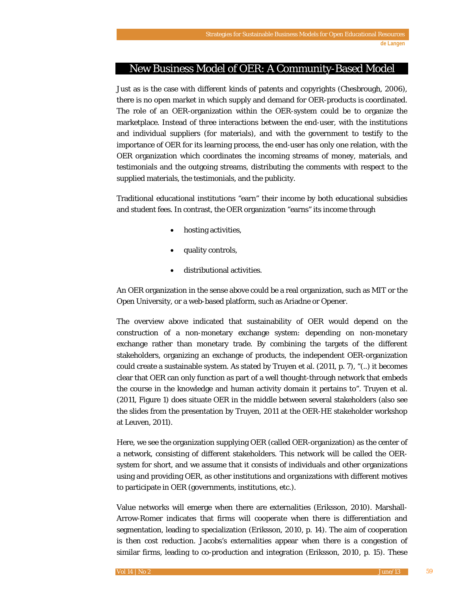### New Business Model of OER: A Community-Based Model

Just as is the case with different kinds of patents and copyrights (Chesbrough, 2006), there is no open market in which supply and demand for OER-products is coordinated. The role of an OER-organization within the OER-system could be to organize the marketplace. Instead of three interactions between the end-user, with the institutions and individual suppliers (for materials), and with the government to testify to the importance of OER for its learning process, the end-user has only one relation, with the OER organization which coordinates the incoming streams of money, materials, and testimonials and the outgoing streams, distributing the comments with respect to the supplied materials, the testimonials, and the publicity.

Traditional educational institutions "earn" their income by both educational subsidies and student fees. In contrast, the OER organization "earns" its income through

- hosting activities,
- quality controls,
- distributional activities.

An OER organization in the sense above could be a real organization, such as MIT or the Open University, or a web-based platform, such as Ariadne or Opener.

The overview above indicated that sustainability of OER would depend on the construction of a non-monetary exchange system: depending on non-monetary exchange rather than monetary trade. By combining the targets of the different stakeholders, organizing an exchange of products, the independent OER-organization could create a sustainable system. As stated by Truyen et al. (2011, p. 7), "(..) it becomes clear that OER can only function as part of a well thought-through network that embeds the course in the knowledge and human activity domain it pertains to". Truyen et al. (2011, Figure 1) does situate OER in the middle between several stakeholders (also see the slides from the presentation by Truyen, 2011 at the OER-HE stakeholder workshop at Leuven, 2011).

Here, we see the organization supplying OER (called OER-organization) as the center of a network, consisting of different stakeholders. This network will be called the OERsystem for short, and we assume that it consists of individuals and other organizations using and providing OER, as other institutions and organizations with different motives to participate in OER (governments, institutions, etc.).

Value networks will emerge when there are externalities (Eriksson, 2010). Marshall-Arrow-Romer indicates that firms will cooperate when there is differentiation and segmentation, leading to specialization (Eriksson, 2010, p. 14). The aim of cooperation is then cost reduction. Jacobs's externalities appear when there is a congestion of similar firms, leading to co-production and integration (Eriksson, 2010, p. 15). These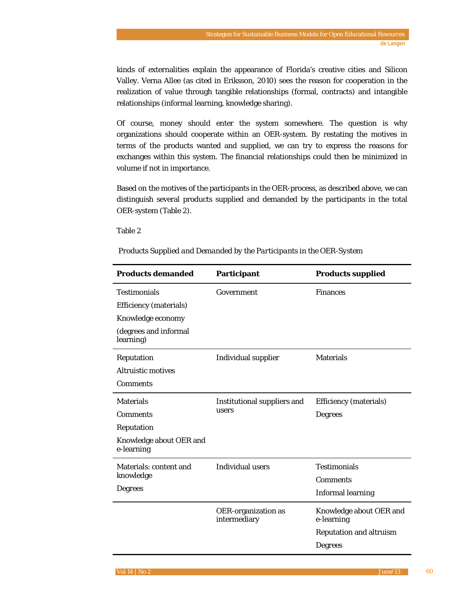kinds of externalities explain the appearance of Florida's creative cities and Silicon Valley. Verna Allee (as cited in Eriksson, 2010) sees the reason for cooperation in the realization of value through tangible relationships (formal, contracts) and intangible relationships (informal learning, knowledge sharing).

Of course, money should enter the system somewhere. The question is why organizations should cooperate within an OER-system. By restating the motives in terms of the products wanted and supplied, we can try to express the reasons for exchanges within this system. The financial relationships could then be minimized in volume if not in importance.

Based on the motives of the participants in the OER-process, as described above, we can distinguish several products supplied and demanded by the participants in the total OER-system (Table 2).

Table 2

*Products Supplied and Demanded by the Participants in the OER-System*

| <b>Products demanded</b>              | <b>Participant</b>                         | <b>Products supplied</b>              |
|---------------------------------------|--------------------------------------------|---------------------------------------|
| <b>Testimonials</b>                   | Government                                 | <b>Finances</b>                       |
| Efficiency (materials)                |                                            |                                       |
| Knowledge economy                     |                                            |                                       |
| (degrees and informal<br>learning)    |                                            |                                       |
| Reputation                            | <b>Individual supplier</b>                 | <b>Materials</b>                      |
| <b>Altruistic motives</b>             |                                            |                                       |
| <b>Comments</b>                       |                                            |                                       |
| <b>Materials</b>                      | Institutional suppliers and<br>users       | <b>Efficiency</b> (materials)         |
| <b>Comments</b>                       |                                            | <b>Degrees</b>                        |
| Reputation                            |                                            |                                       |
| Knowledge about OER and<br>e-learning |                                            |                                       |
| Materials: content and                | <b>Individual users</b>                    | <b>Testimonials</b>                   |
| knowledge                             |                                            | <b>Comments</b>                       |
| <b>Degrees</b>                        |                                            | <b>Informal learning</b>              |
|                                       | <b>OER-organization as</b><br>intermediary | Knowledge about OER and<br>e-learning |
|                                       |                                            | <b>Reputation and altruism</b>        |
|                                       |                                            | <b>Degrees</b>                        |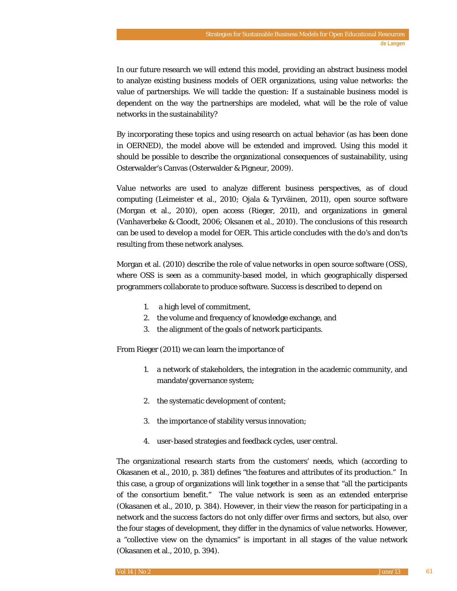In our future research we will extend this model, providing an abstract business model to analyze existing business models of OER organizations, using value networks: the value of partnerships. We will tackle the question: If a sustainable business model is dependent on the way the partnerships are modeled, what will be the role of value networks in the sustainability?

By incorporating these topics and using research on actual behavior (as has been done in OERNED), the model above will be extended and improved. Using this model it should be possible to describe the organizational consequences of sustainability, using Osterwalder's Canvas (Osterwalder & Pigneur, 2009).

Value networks are used to analyze different business perspectives, as of cloud computing (Leimeister et al., 2010; Ojala & Tyrväinen, 2011), open source software (Morgan et al., 2010), open access (Rieger, 2011), and organizations in general (Vanhaverbeke & Cloodt, 2006; Oksanen et al., 2010). The conclusions of this research can be used to develop a model for OER. This article concludes with the do's and don'ts resulting from these network analyses.

Morgan et al. (2010) describe the role of value networks in open source software (OSS), where OSS is seen as a community-based model, in which geographically dispersed programmers collaborate to produce software. Success is described to depend on

- 1. a high level of commitment,
- 2. the volume and frequency of knowledge exchange, and
- 3. the alignment of the goals of network participants.

From Rieger (2011) we can learn the importance of

- 1. a network of stakeholders, the integration in the academic community, and mandate/governance system;
- 2. the systematic development of content;
- 3. the importance of stability versus innovation;
- 4. user-based strategies and feedback cycles, user central.

The organizational research starts from the customers' needs, which (according to Okasanen et al., 2010, p. 381) defines "the features and attributes of its production." In this case, a group of organizations will link together in a sense that "all the participants of the consortium benefit." The value network is seen as an extended enterprise (Okasanen et al., 2010, p. 384). However, in their view the reason for participating in a network and the success factors do not only differ over firms and sectors, but also, over the four stages of development, they differ in the dynamics of value networks. However, a "collective view on the dynamics" is important in all stages of the value network (Okasanen et al., 2010, p. 394).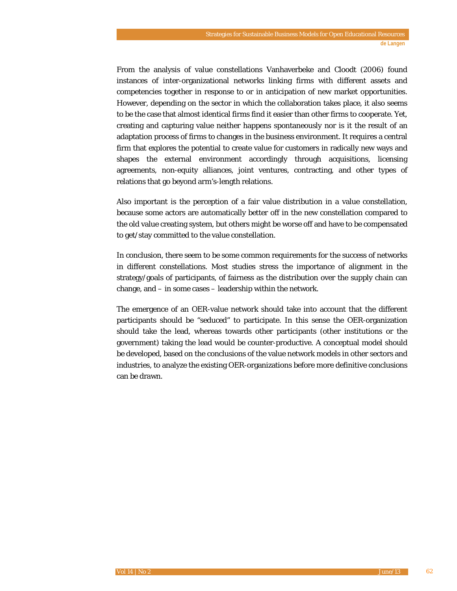From the analysis of value constellations Vanhaverbeke and Cloodt (2006) found instances of inter-organizational networks linking firms with different assets and competencies together in response to or in anticipation of new market opportunities. However, depending on the sector in which the collaboration takes place, it also seems to be the case that almost identical firms find it easier than other firms to cooperate. Yet, creating and capturing value neither happens spontaneously nor is it the result of an adaptation process of firms to changes in the business environment. It requires a central firm that explores the potential to create value for customers in radically new ways and shapes the external environment accordingly through acquisitions, licensing agreements, non-equity alliances, joint ventures, contracting, and other types of relations that go beyond arm's-length relations.

Also important is the perception of a fair value distribution in a value constellation, because some actors are automatically better off in the new constellation compared to the old value creating system, but others might be worse off and have to be compensated to get/stay committed to the value constellation.

In conclusion, there seem to be some common requirements for the success of networks in different constellations. Most studies stress the importance of alignment in the strategy/goals of participants, of fairness as the distribution over the supply chain can change, and – in some cases – leadership within the network.

The emergence of an OER-value network should take into account that the different participants should be "seduced" to participate. In this sense the OER-organization should take the lead, whereas towards other participants (other institutions or the government) taking the lead would be counter-productive. A conceptual model should be developed, based on the conclusions of the value network models in other sectors and industries, to analyze the existing OER-organizations before more definitive conclusions can be drawn.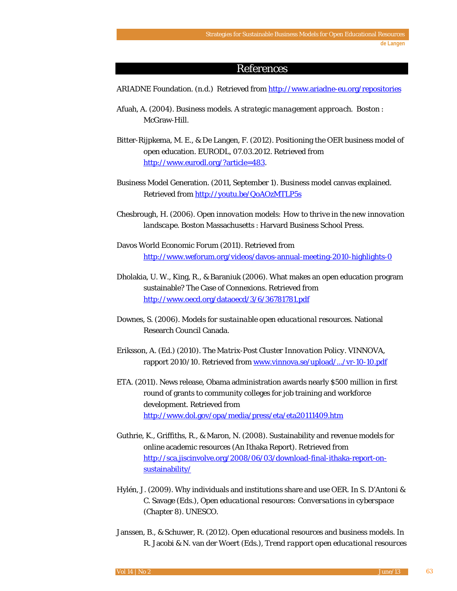#### References

- ARIADNE Foundation. (n.d.) Retrieved fro[m http://www.ariadne-eu.org/repositories](http://www.ariadne-eu.org/repositories)
- Afuah, A. (2004). *Business models. A strategic management approach*. Boston : McGraw-Hill.
- Bitter-Rijpkema, M. E., & De Langen, F. (2012). Positioning the OER business model of open education. *EURODL,* 07.03.2012. Retrieved from [http://www.eurodl.org/?article=483.](http://www.eurodl.org/?article=483)
- Business Model Generation. (2011, September 1). Business model canvas explained. Retrieved from<http://youtu.be/QoAOzMTLP5s>
- Chesbrough, H. (2006). *Open innovation models: How to thrive in the new innovation landscape*. Boston Massachusetts : Harvard Business School Press.
- Davos World Economic Forum (2011). Retrieved from <http://www.weforum.org/videos/davos-annual-meeting-2010-highlights-0>
- Dholakia, U. W., King, R., & Baraniuk (2006). What makes an open education program sustainable? The Case of Connexions. Retrieved from <http://www.oecd.org/dataoecd/3/6/36781781.pdf>
- Downes, S. (2006). *Models for sustainable open educational resources*. National Research Council Canada.
- Eriksson, A. (Ed.) (2010). *The Matrix-Post Cluster Innovation Policy*. VINNOVA, rapport 2010/10. Retrieved from [www.vinnova.se/upload/.../vr-10-10.pdf](http://www.vinnova.se/upload/.../vr-10-10.pdf)
- ETA. (2011). News release, Obama administration awards nearly \$500 million in first round of grants to community colleges for job training and workforce development. Retrieved from <http://www.dol.gov/opa/media/press/eta/eta20111409.htm>
- Guthrie, K., Griffiths, R., & Maron, N. (2008). Sustainability and revenue models for online academic resources (An Ithaka Report). Retrieved from [http://sca.jiscinvolve.org/2008/06/03/download-final-ithaka-report-on](http://sca.jiscinvolve.org/2008/06/03/download-final-ithaka-report-on-sustainability/)[sustainability/](http://sca.jiscinvolve.org/2008/06/03/download-final-ithaka-report-on-sustainability/)
- Hylén, J. (2009). Why individuals and institutions share and use OER. In S. D'Antoni & C. Savage (Eds.), *Open educational resources: Conversations in cyberspace*  (Chapter 8). UNESCO.
- Janssen, B., & Schuwer, R. (2012). Open educational resources and business models. In R. Jacobi & N. van der Woert (Eds.), *Trend rapport open educational resources*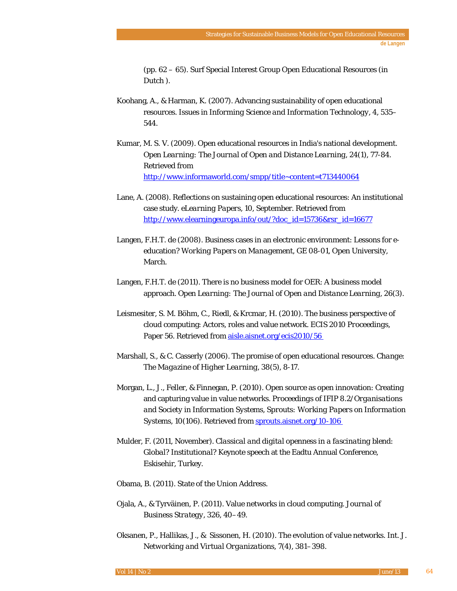(pp. 62 – 65). Surf Special Interest Group Open Educational Resources (in Dutch ).

- Koohang, A., & Harman, K. (2007). Advancing sustainability of open educational resources. *Issues in Informing Science and Information Technology, 4*, 535– 544.
- Kumar, M. S. V. (2009). Open educational resources in India's national development. *Open Learning: The Journal of Open and Distance Learning, 24*(1), 77-84. Retrieved from <http://www.informaworld.com/smpp/title~content=t713440064>
- Lane, A. (2008). Reflections on sustaining open educational resources: An institutional case study. *eLearning Papers*, *10*, September. Retrieved from [http://www.elearningeuropa.info/out/?doc\\_id=15736&rsr\\_id=16677](http://www.elearningeuropa.info/out/?doc_id=15736&rsr_id=16677)
- Langen, F.H.T. de (2008). Business cases in an electronic environment: Lessons for eeducation? *Working Papers on Management*, GE 08-01, Open University, March.
- Langen, F.H.T. de (2011). There is no business model for OER: A business model approach*. Open Learning: The Journal of Open and Distance Learning, 26*(3).
- Leismesiter, S. M. Böhm, C., Riedl, & Krcmar, H. (2010). The business perspective of cloud computing: Actors, roles and value network. *ECIS 2010 Proceedings*, Paper 56. Retrieved from aisle.aisnet.org/ecis2010/56
- Marshall, S., & C. Casserly (2006). The promise of open educational resources. *Change: The Magazine of Higher Learning*, *38*(5), 8-17.
- Morgan, L., J., Feller, & Finnegan, P. (2010). Open source as open innovation: Creating and capturing value in value networks. *Proceedings of IFIP 8.2/Organisations and Society in Information Systems, Sprouts: Working Papers on Information Systems, 10(106)*. Retrieved from sprouts.aisnet.org/10-106
- Mulder, F. (2011, November). *Classical and digital openness in a fascinating blend: Global? Institutional?* Keynote speech at the Eadtu Annual Conference, Eskisehir, Turkey.

Obama, B. (2011). State of the Union Address.

- Ojala, A., & Tyrväinen, P. (2011). Value networks in cloud computing. *Journal of Business Strategy*, 326, 40–49.
- Oksanen, P., Hallikas, J., & Sissonen, H. (2010). The evolution of value networks. *Int. J. Networking and Virtual Organizations*, *7*(4), 381–398.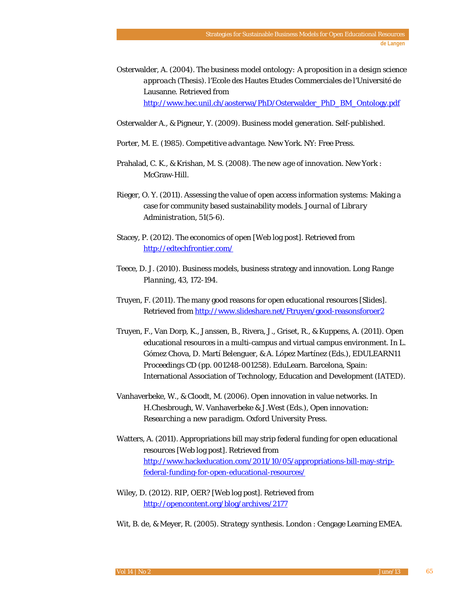- Osterwalder, A. (2004). *The business model ontology: A proposition in a design science approach* (Thesis). l'Ecole des Hautes Etudes Commerciales de l'Université de Lausanne. Retrieved from [http://www.hec.unil.ch/aosterwa/PhD/Osterwalder\\_PhD\\_BM\\_Ontology.pdf](http://www.hec.unil.ch/aosterwa/PhD/Osterwalder_PhD_BM_Ontology.pdf)
- Osterwalder A., & Pigneur, Y. (2009). *Business model generation*. Self-published.
- Porter, M. E. (1985). *Competitive advantage*. New York. NY: Free Press.
- Prahalad, C. K., & Krishan, M. S. (2008). *The new age of innovation*. New York : McGraw-Hill.
- Rieger, O. Y. (2011). Assessing the value of open access information systems: Making a case for community based sustainability models*. Journal of Library Administration*, *51*(5-6).
- Stacey, P. (2012). The economics of open [Web log post]. Retrieved from <http://edtechfrontier.com/>
- Teece, D. J. (2010). Business models, business strategy and innovation. *Long Range Planning*, *43*, 172-194.
- Truyen, F. (2011). The many good reasons for open educational resources [Slides]. Retrieved from<http://www.slideshare.net/Ftruyen/good-reasonsforoer2>
- Truyen, F., Van Dorp, K., Janssen, B., Rivera, J., Griset, R., & Kuppens, A. (2011). Open educational resources in a multi-campus and virtual campus environment. In L. Gómez Chova, D. Martí Belenguer, & A. López Martínez (Eds.), *EDULEARN11 Proceedings CD* (pp. 001248-001258). EduLearn. Barcelona, Spain: International Association of Technology, Education and Development (IATED).
- Vanhaverbeke, W., & Cloodt, M. (2006). Open innovation in value networks. In H.Chesbrough, W. Vanhaverbeke & J.West (Eds.), *Open innovation: Researching a new paradigm*. Oxford University Press.
- Watters, A. (2011). Appropriations bill may strip federal funding for open educational resources [Web log post]. Retrieved from [http://www.hackeducation.com/2011/10/05/appropriations-bill-may-strip](http://www.hackeducation.com/2011/10/05/appropriations-bill-may-strip-federal-funding-for-open-educational-resources/)[federal-funding-for-open-educational-resources/](http://www.hackeducation.com/2011/10/05/appropriations-bill-may-strip-federal-funding-for-open-educational-resources/)
- Wiley, D. (2012). RIP, OER? [Web log post]. Retrieved from <http://opencontent.org/blog/archives/2177>
- Wit, B. de, & Meyer, R. (2005). *Strategy synthesis*. London : Cengage Learning EMEA.